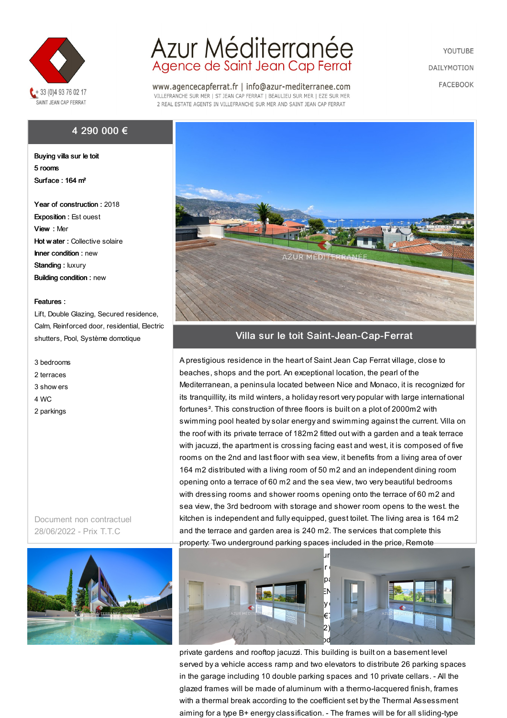

## 4 290 000 €

Buying villa sur le toit 5 rooms Surface : 164 m²

Year of construction : 2018 Exposition : Est ouest View : Mer Hot w ater : Collective solaire Inner condition : new Standing : luxury Building condition : new

## Features :

Lift, Double Glazing, Secured residence, Calm, Reinforced door, residential, Electric shutters, Pool, Système domotique

- 3 bedrooms
- 2 terraces
- 3 show ers
- 4 WC
- 2 parkings

Document non contractuel 28/06/2022 - Prix T.T.C



## Azur Méditerranée<br>Agence de Saint Jean Cap Ferrat

www.agencecapferrat.fr | info@azur-mediterranee.com VILLEFRANCHE SUR MER | ST JEAN CAP FERRAT | BEAULIEU SUR MER | EZE SUR MER 2 REAL ESTATE AGENTS IN VILLEFRANCHE SUR MER AND SAINT JEAN CAP FERRAT

YOUTUBE **DAILYMOTION FACEBOOK** 



## Villa sur le toit Saint-Jean-Cap-Ferrat

A prestigious residence in the heart of Saint Jean Cap Ferrat village, close to beaches, shops and the port. An exceptional location, the pearl of the Mediterranean, a peninsula located between Nice and Monaco, it is recognized for its tranquillity, its mild winters, a holidayresort very popular with large international fortunes². This construction of three floors is built on a plot of 2000m2 with swimming pool heated bysolar energy and swimming against the current. Villa on the roof with its private terrace of 182m2 fitted out with a garden and a teak terrace with jacuzzi, the apartment is crossing facing east and west, it is composed of five rooms on the 2nd and last floor with sea view, it benefits from a living area of over 164 m2 distributed with a living room of 50 m2 and an independent dining room opening onto a terrace of 60 m2 and the sea view, two very beautiful bedrooms with dressing rooms and shower rooms opening onto the terrace of 60 m2 and sea view, the 3rd bedroom with storage and shower room opens to the west. the kitchen is independent and fully equipped, guest toilet. The living area is 164 m2 and the terrace and garden area is 240 m2. The services that complete this property: Two underground parking spaces included in the price, Remote



private gardens and rooftop jacuzzi. This building is built on a basement level served by a vehicle access ramp and two elevators to distribute 26 parking spaces in the garage including 10 double parking spaces and 10 private cellars. - All the glazed frames will be made of aluminum with a thermo-lacquered finish, frames with a thermal break according to the coefficient set bythe Thermal Assessment aiming for a type B+ energyclassification. - The frames will be for all sliding-type